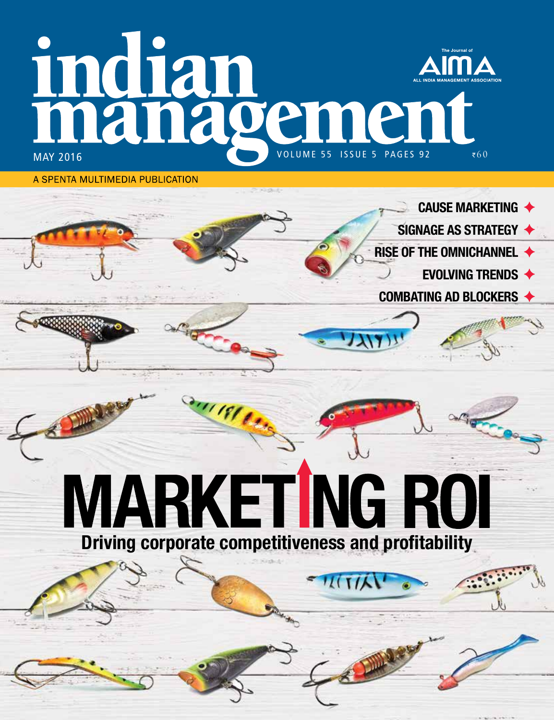# indian hamen  $\bar{x}60$

**CAUSE MARKETING ♦** 

**EVOLVING TRENDS ♦** 

SIGNAGE AS STRATEGY ◆

**RISE OF THE OMNICHANNEL ♦** 

COMBATING AD BLOCKERS ♦

A SPENTA MULTIMEDIA PUBLICATION

**IARKET NG ROI** Driving corporate competitiveness and profitability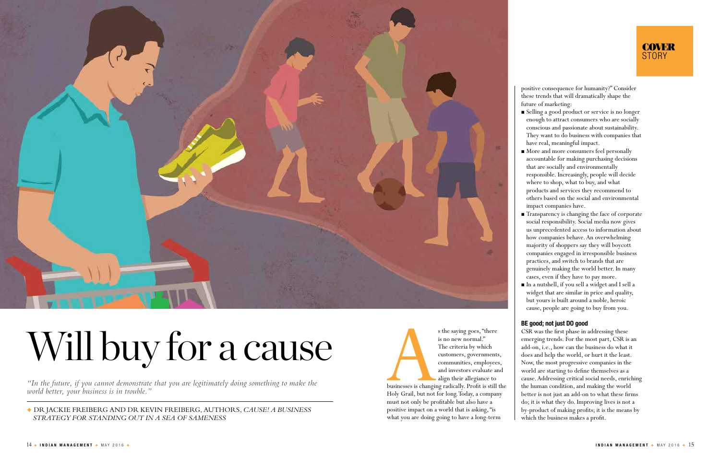s the saying goes, "there<br>
is no new normal."<br>
The criteria by which<br>
customers, governments<br>
communities, employees<br>
and investors evaluate are<br>
align their allegiance to<br>
businesses is changing radically. Profit is still is no new normal." The criteria by which customers, governments, communities, employees, and investors evaluate and align their allegiance to

businesses is changing radically. Proft is still the Holy Grail, but not for long. Today, a company must not only be proftable but also have a positive impact on a world that is asking, "is what you are doing going to have a long-term



### Will buy for a cause

*"In the future, if you cannot demonstrate that you are legitimately doing something to make the world better, your business is in trouble."*

DR JACKIE FREIBERG AND DR KEVIN FREIBERG, AUTHORS, *CAUSE! A BUSINESS STRATEGY FOR STANDING OUT IN A SEA OF SAMENESS*

 $\blacksquare$  More and more consumers feel personally accountable for making purchasing decisions that are socially and environmentally responsible. Increasingly, people will decide where to shop, what to buy, and what products and services they recommend to others based on the social and environmental impact companies have.

positive consequence for humanity?" Consider these trends that will dramatically shape the future of marketing:

 Selling a good product or service is no longer enough to attract consumers who are socially conscious and passionate about sustainability. They want to do business with companies that have real, meaningful impact.

 Transparency is changing the face of corporate social responsibility. Social media now gives us unprecedented access to information about how companies behave. An overwhelming majority of shoppers say they will boycott companies engaged in irresponsible business practices, and switch to brands that are genuinely making the world better. In many cases, even if they have to pay more. In a nutshell, if you sell a widget and I sell a widget that are similar in price and quality, but yours is built around a noble, heroic cause, people are going to buy from you.

BE good; not just DO good CSR was the frst phase in addressing these emerging trends. For the most part, CSR is an add-on, i.e., how can the business do what it does and help the world, or hurt it the least. Now, the most progressive companies in the world are starting to defne themselves as a cause. Addressing critical social needs, enriching the human condition, and making the world better is not just an add-on to what these frms do; it is what they do. Improving lives is not a by-product of making profts; it is the means by which the business makes a proft.

#### **COVER STORY**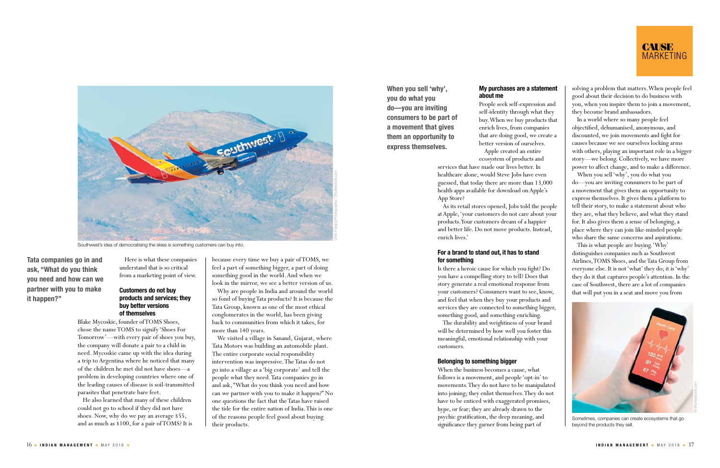Here is what these companies understand that is so critical from a marketing point of view.

#### Customers do not buy products and services; they buy better versions of themselves

Blake Mycoskie, founder of TOMS Shoes, chose the name TOMS to signify 'Shoes For Tomorrow'—with every pair of shoes you buy, the company will donate a pair to a child in need. Mycoskie came up with the idea during a trip to Argentina where he noticed that many of the children he met did not have shoes—a problem in developing countries where one of the leading causes of disease is soil-transmitted parasites that penetrate bare feet.

He also learned that many of these children could not go to school if they did not have shoes. Now, why do we pay an average \$55, and as much as \$100, for a pair of TOMS? It is because every time we buy a pair of TOMS, we feel a part of something bigger, a part of doing something good in the world. And when we look in the mirror, we see a better version of us.

Why are people in India and around the world so fond of buying Tata products? It is because the Tata Group, known as one of the most ethical conglomerates in the world, has been giving back to communities from which it takes, for more than 140 years.

We visited a village in Sanand, Gujarat, where Tata Motors was building an automobile plant. The entire corporate social responsibility intervention was impressive. The Tatas do not go into a village as a 'big corporate' and tell the people what they need. Tata companies go in and ask, "What do you think you need and how can we partner with you to make it happen?" No one questions the fact that the Tatas have raised the tide for the entire nation of India. This is one of the reasons people feel good about buying their products.

Tata companies go in and ask, "What do you think you need and how can we partner with you to make it happen?"

#### My purchases are a statement about me

People seek self-expression and self-identity through what they buy. When we buy products that enrich lives, from companies that are doing good, we create a better version of ourselves. Apple created an entire

ecosystem of products and

services that have made our lives better. In healthcare alone, would Steve Jobs have even guessed, that today there are more than 13,000 health apps available for download on Apple's App Store?

As its retail stores opened, Jobs told the people at Apple, 'your customers do not care about your products. Your customers dream of a happier and better life. Do not move products. Instead, enrich lives.'

#### For a brand to stand out, it has to stand for something

Is there a heroic cause for which you fght? Do you have a compelling story to tell? Does that story generate a real emotional response from your customers? Consumers want to see, know, and feel that when they buy your products and services they are connected to something bigger, something good, and something enriching.

The durability and weightiness of your brand will be determined by how well you foster this meaningful, emotional relationship with your customers.

#### Belonging to something bigger

When the business becomes a cause, what follows is a movement, and people 'opt-in' to movements. They do not have to be manipulated into joining; they enlist themselves. They do not have to be enticed with exaggerated promises, hype, or fear; they are already drawn to the psychic gratifcation, the deep meaning, and signifcance they garner from being part of

solving a problem that matters. When people feel good about their decision to do business with you, when you inspire them to join a movement, they become brand ambassadors.

In a world where so many people feel objectifed, dehumanised, anonymous, and discounted, we join movements and fight for causes because we see ourselves locking arms with others, playing an important role in a bigger story—we belong. Collectively, we have more power to afect change, and to make a diference.

When you sell 'why', you do what you do—you are inviting consumers to be part of a movement that gives them an opportunity to express themselves. It gives them a platform to tell their story, to make a statement about who they are, what they believe, and what they stand for. It also gives them a sense of belonging, a place where they can join like-minded people who share the same concerns and aspirations.

This is what people are buying. 'Why' distinguishes companies such as Southwest Airlines, TOMS Shoes, and the Tata Group from everyone else. It is not 'what' they do; it is 'why' they do it that captures people's attention. In the case of Southwest, there are a lot of companies that will put you in a seat and move you from

When you sell 'why', you do what you do—you are inviting consumers to be part of a movement that gives them an opportunity to express themselves.



Southwest's idea of democratising the skies is something customers can buy into.





Sometimes, companies can create ecosystems that go beyond the products they sell.